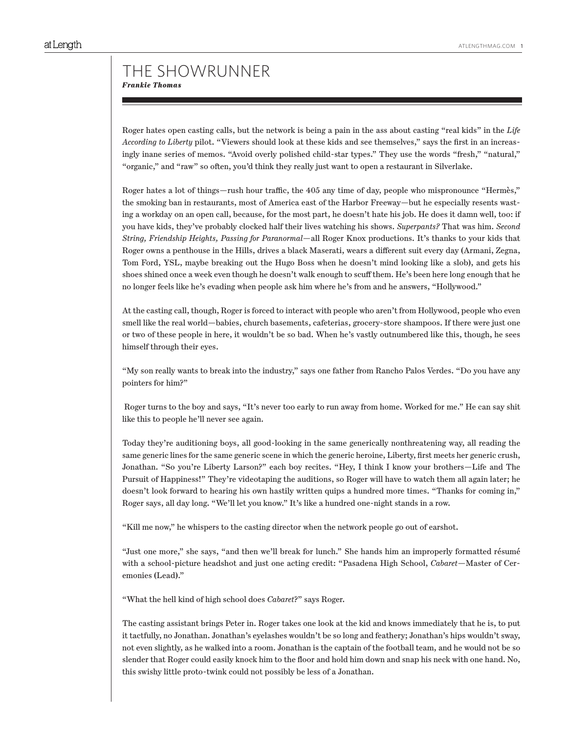Roger hates open casting calls, but the network is being a pain in the ass about casting "real kids" in the *Life According to Liberty* pilot. "Viewers should look at these kids and see themselves," says the first in an increasingly inane series of memos. "Avoid overly polished child-star types." They use the words "fresh," "natural," "organic," and "raw" so often, you'd think they really just want to open a restaurant in Silverlake.

Roger hates a lot of things—rush hour traffic, the 405 any time of day, people who mispronounce "Hermès," the smoking ban in restaurants, most of America east of the Harbor Freeway—but he especially resents wasting a workday on an open call, because, for the most part, he doesn't hate his job. He does it damn well, too: if you have kids, they've probably clocked half their lives watching his shows. *Superpants?* That was him. *Second String, Friendship Heights, Passing for Paranormal*—all Roger Knox productions. It's thanks to your kids that Roger owns a penthouse in the Hills, drives a black Maserati, wears a different suit every day (Armani, Zegna, Tom Ford, YSL, maybe breaking out the Hugo Boss when he doesn't mind looking like a slob), and gets his shoes shined once a week even though he doesn't walk enough to scuff them. He's been here long enough that he no longer feels like he's evading when people ask him where he's from and he answers, "Hollywood."

At the casting call, though, Roger is forced to interact with people who aren't from Hollywood, people who even smell like the real world—babies, church basements, cafeterias, grocery-store shampoos. If there were just one or two of these people in here, it wouldn't be so bad. When he's vastly outnumbered like this, though, he sees himself through their eyes.

"My son really wants to break into the industry," says one father from Rancho Palos Verdes. "Do you have any pointers for him?"

 Roger turns to the boy and says, "It's never too early to run away from home. Worked for me." He can say shit like this to people he'll never see again.

Today they're auditioning boys, all good-looking in the same generically nonthreatening way, all reading the same generic lines for the same generic scene in which the generic heroine, Liberty, first meets her generic crush, Jonathan. "So you're Liberty Larson?" each boy recites. "Hey, I think I know your brothers—Life and The Pursuit of Happiness!" They're videotaping the auditions, so Roger will have to watch them all again later; he doesn't look forward to hearing his own hastily written quips a hundred more times. "Thanks for coming in," Roger says, all day long. "We'll let you know." It's like a hundred one-night stands in a row.

"Kill me now," he whispers to the casting director when the network people go out of earshot.

"Just one more," she says, "and then we'll break for lunch." She hands him an improperly formatted résumé with a school-picture headshot and just one acting credit: "Pasadena High School, *Cabaret*—Master of Ceremonies (Lead)."

"What the hell kind of high school does *Cabaret*?" says Roger.

The casting assistant brings Peter in. Roger takes one look at the kid and knows immediately that he is, to put it tactfully, no Jonathan. Jonathan's eyelashes wouldn't be so long and feathery; Jonathan's hips wouldn't sway, not even slightly, as he walked into a room. Jonathan is the captain of the football team, and he would not be so slender that Roger could easily knock him to the floor and hold him down and snap his neck with one hand. No, this swishy little proto-twink could not possibly be less of a Jonathan.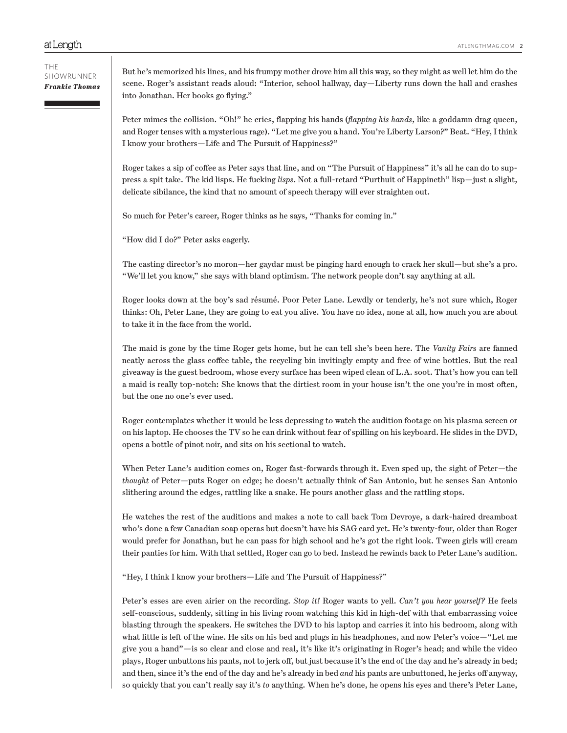THE SHOWRUNNER *Frankie Thomas*

But he's memorized his lines, and his frumpy mother drove him all this way, so they might as well let him do the scene. Roger's assistant reads aloud: "Interior, school hallway, day—Liberty runs down the hall and crashes into Jonathan. Her books go flying."

Peter mimes the collision. "Oh!" he cries, flapping his hands (*flapping his hands*, like a goddamn drag queen, and Roger tenses with a mysterious rage). "Let me give you a hand. You're Liberty Larson?" Beat. "Hey, I think I know your brothers—Life and The Pursuit of Happiness?"

Roger takes a sip of coffee as Peter says that line, and on "The Pursuit of Happiness" it's all he can do to suppress a spit take. The kid lisps. He fucking *lisps*. Not a full-retard "Purthuit of Happineth" lisp—just a slight, delicate sibilance, the kind that no amount of speech therapy will ever straighten out.

So much for Peter's career, Roger thinks as he says, "Thanks for coming in."

"How did I do?" Peter asks eagerly.

The casting director's no moron—her gaydar must be pinging hard enough to crack her skull—but she's a pro. "We'll let you know," she says with bland optimism. The network people don't say anything at all.

Roger looks down at the boy's sad résumé. Poor Peter Lane. Lewdly or tenderly, he's not sure which, Roger thinks: Oh, Peter Lane, they are going to eat you alive. You have no idea, none at all, how much you are about to take it in the face from the world.

The maid is gone by the time Roger gets home, but he can tell she's been here. The *Vanity Fair*s are fanned neatly across the glass coffee table, the recycling bin invitingly empty and free of wine bottles. But the real giveaway is the guest bedroom, whose every surface has been wiped clean of L.A. soot. That's how you can tell a maid is really top-notch: She knows that the dirtiest room in your house isn't the one you're in most often, but the one no one's ever used.

Roger contemplates whether it would be less depressing to watch the audition footage on his plasma screen or on his laptop. He chooses the TV so he can drink without fear of spilling on his keyboard. He slides in the DVD, opens a bottle of pinot noir, and sits on his sectional to watch.

When Peter Lane's audition comes on, Roger fast-forwards through it. Even sped up, the sight of Peter—the *thought* of Peter—puts Roger on edge; he doesn't actually think of San Antonio, but he senses San Antonio slithering around the edges, rattling like a snake. He pours another glass and the rattling stops.

He watches the rest of the auditions and makes a note to call back Tom Devroye, a dark-haired dreamboat who's done a few Canadian soap operas but doesn't have his SAG card yet. He's twenty-four, older than Roger would prefer for Jonathan, but he can pass for high school and he's got the right look. Tween girls will cream their panties for him. With that settled, Roger can go to bed. Instead he rewinds back to Peter Lane's audition.

"Hey, I think I know your brothers—Life and The Pursuit of Happiness?"

Peter's esses are even airier on the recording. *Stop it!* Roger wants to yell. *Can't you hear yourself?* He feels self-conscious, suddenly, sitting in his living room watching this kid in high-def with that embarrassing voice blasting through the speakers. He switches the DVD to his laptop and carries it into his bedroom, along with what little is left of the wine. He sits on his bed and plugs in his headphones, and now Peter's voice—"Let me give you a hand"—is so clear and close and real, it's like it's originating in Roger's head; and while the video plays, Roger unbuttons his pants, not to jerk off, but just because it's the end of the day and he's already in bed; and then, since it's the end of the day and he's already in bed *and* his pants are unbuttoned, he jerks off anyway, so quickly that you can't really say it's *to* anything. When he's done, he opens his eyes and there's Peter Lane,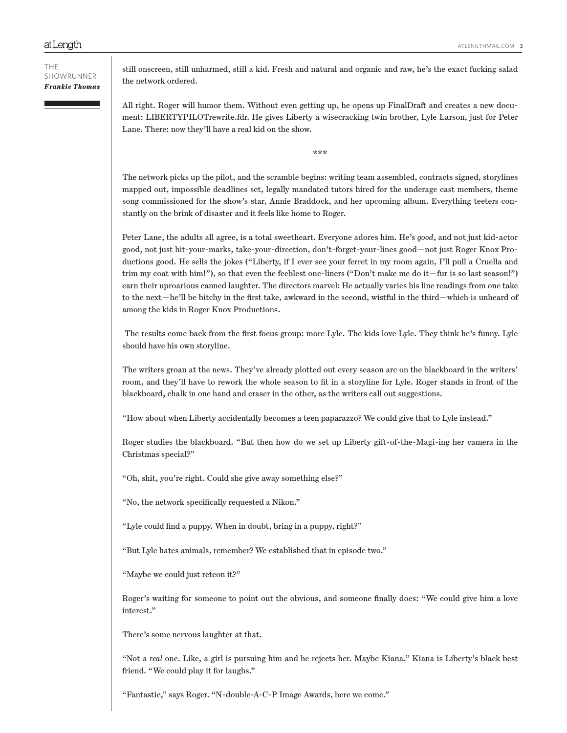still onscreen, still unharmed, still a kid. Fresh and natural and organic and raw, he's the exact fucking salad the network ordered.

All right. Roger will humor them. Without even getting up, he opens up FinalDraft and creates a new document: LIBERTYPILOTrewrite.fdr. He gives Liberty a wisecracking twin brother, Lyle Larson, just for Peter Lane. There: now they'll have a real kid on the show.

\*\*\*

The network picks up the pilot, and the scramble begins: writing team assembled, contracts signed, storylines mapped out, impossible deadlines set, legally mandated tutors hired for the underage cast members, theme song commissioned for the show's star, Annie Braddock, and her upcoming album. Everything teeters constantly on the brink of disaster and it feels like home to Roger.

Peter Lane, the adults all agree, is a total sweetheart. Everyone adores him. He's *good*, and not just kid-actor good, not just hit-your-marks, take-your-direction, don't-forget-your-lines good—not just Roger Knox Productions good. He sells the jokes ("Liberty, if I ever see your ferret in my room again, I'll pull a Cruella and trim my coat with him!"), so that even the feeblest one-liners ("Don't make me do it—fur is so last season!") earn their uproarious canned laughter. The directors marvel: He actually varies his line readings from one take to the next—he'll be bitchy in the first take, awkward in the second, wistful in the third—which is unheard of among the kids in Roger Knox Productions.

 The results come back from the first focus group: more Lyle. The kids love Lyle. They think he's funny. Lyle should have his own storyline.

The writers groan at the news. They've already plotted out every season arc on the blackboard in the writers' room, and they'll have to rework the whole season to fit in a storyline for Lyle. Roger stands in front of the blackboard, chalk in one hand and eraser in the other, as the writers call out suggestions.

"How about when Liberty accidentally becomes a teen paparazzo? We could give that to Lyle instead."

Roger studies the blackboard. "But then how do we set up Liberty gift-of-the-Magi-ing her camera in the Christmas special?"

"Oh, shit, you're right. Could she give away something else?"

"No, the network specifically requested a Nikon."

"Lyle could find a puppy. When in doubt, bring in a puppy, right?"

"But Lyle hates animals, remember? We established that in episode two."

"Maybe we could just retcon it?"

Roger's waiting for someone to point out the obvious, and someone finally does: "We could give him a love interest."

There's some nervous laughter at that.

"Not a *real* one. Like, a girl is pursuing him and he rejects her. Maybe Kiana." Kiana is Liberty's black best friend. "We could play it for laughs."

"Fantastic," says Roger. "N-double-A-C-P Image Awards, here we come."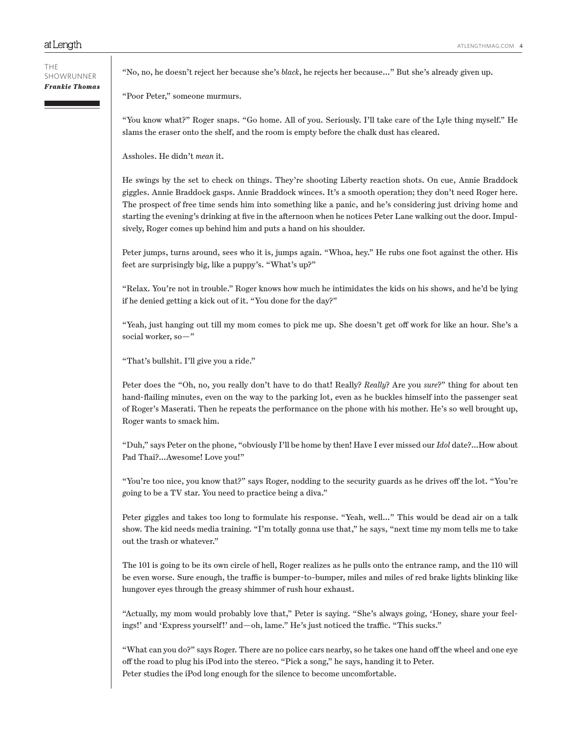"No, no, he doesn't reject her because she's *black*, he rejects her because…" But she's already given up.

"Poor Peter," someone murmurs.

"You know what?" Roger snaps. "Go home. All of you. Seriously. I'll take care of the Lyle thing myself." He slams the eraser onto the shelf, and the room is empty before the chalk dust has cleared.

Assholes. He didn't *mean* it.

He swings by the set to check on things. They're shooting Liberty reaction shots. On cue, Annie Braddock giggles. Annie Braddock gasps. Annie Braddock winces. It's a smooth operation; they don't need Roger here. The prospect of free time sends him into something like a panic, and he's considering just driving home and starting the evening's drinking at five in the afternoon when he notices Peter Lane walking out the door. Impulsively, Roger comes up behind him and puts a hand on his shoulder.

Peter jumps, turns around, sees who it is, jumps again. "Whoa, hey." He rubs one foot against the other. His feet are surprisingly big, like a puppy's. "What's up?"

"Relax. You're not in trouble." Roger knows how much he intimidates the kids on his shows, and he'd be lying if he denied getting a kick out of it. "You done for the day?"

"Yeah, just hanging out till my mom comes to pick me up. She doesn't get off work for like an hour. She's a social worker, so—"

"That's bullshit. I'll give you a ride."

Peter does the "Oh, no, you really don't have to do that! Really? *Really*? Are you *sure*?" thing for about ten hand-flailing minutes, even on the way to the parking lot, even as he buckles himself into the passenger seat of Roger's Maserati. Then he repeats the performance on the phone with his mother. He's so well brought up, Roger wants to smack him.

"Duh," says Peter on the phone, "obviously I'll be home by then! Have I ever missed our *Idol* date?…How about Pad Thai?…Awesome! Love you!"

"You're too nice, you know that?" says Roger, nodding to the security guards as he drives off the lot. "You're going to be a TV star. You need to practice being a diva."

Peter giggles and takes too long to formulate his response. "Yeah, well…" This would be dead air on a talk show. The kid needs media training. "I'm totally gonna use that," he says, "next time my mom tells me to take out the trash or whatever."

The 101 is going to be its own circle of hell, Roger realizes as he pulls onto the entrance ramp, and the 110 will be even worse. Sure enough, the traffic is bumper-to-bumper, miles and miles of red brake lights blinking like hungover eyes through the greasy shimmer of rush hour exhaust.

"Actually, my mom would probably love that," Peter is saying. "She's always going, 'Honey, share your feelings!' and 'Express yourself!' and—oh, lame." He's just noticed the traffic. "This sucks."

"What can you do?" says Roger. There are no police cars nearby, so he takes one hand off the wheel and one eye off the road to plug his iPod into the stereo. "Pick a song," he says, handing it to Peter. Peter studies the iPod long enough for the silence to become uncomfortable.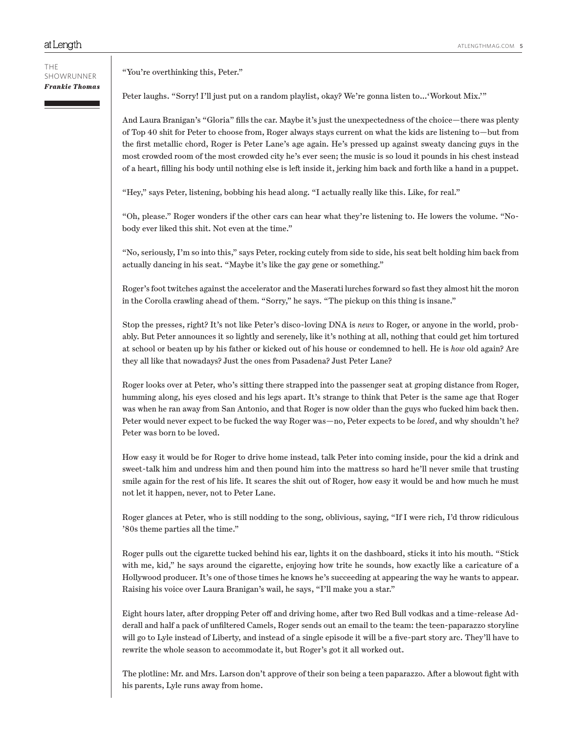#### THE SHOWRUNNER *Frankie Thomas*

"You're overthinking this, Peter."

Peter laughs. "Sorry! I'll just put on a random playlist, okay? We're gonna listen to…'Workout Mix.'"

And Laura Branigan's "Gloria" fills the car. Maybe it's just the unexpectedness of the choice—there was plenty of Top 40 shit for Peter to choose from, Roger always stays current on what the kids are listening to—but from the first metallic chord, Roger is Peter Lane's age again. He's pressed up against sweaty dancing guys in the most crowded room of the most crowded city he's ever seen; the music is so loud it pounds in his chest instead of a heart, filling his body until nothing else is left inside it, jerking him back and forth like a hand in a puppet.

"Hey," says Peter, listening, bobbing his head along. "I actually really like this. Like, for real."

"Oh, please." Roger wonders if the other cars can hear what they're listening to. He lowers the volume. "Nobody ever liked this shit. Not even at the time."

"No, seriously, I'm so into this," says Peter, rocking cutely from side to side, his seat belt holding him back from actually dancing in his seat. "Maybe it's like the gay gene or something."

Roger's foot twitches against the accelerator and the Maserati lurches forward so fast they almost hit the moron in the Corolla crawling ahead of them. "Sorry," he says. "The pickup on this thing is insane."

Stop the presses, right? It's not like Peter's disco-loving DNA is *news* to Roger, or anyone in the world, probably. But Peter announces it so lightly and serenely, like it's nothing at all, nothing that could get him tortured at school or beaten up by his father or kicked out of his house or condemned to hell. He is *how* old again? Are they all like that nowadays? Just the ones from Pasadena? Just Peter Lane?

Roger looks over at Peter, who's sitting there strapped into the passenger seat at groping distance from Roger, humming along, his eyes closed and his legs apart. It's strange to think that Peter is the same age that Roger was when he ran away from San Antonio, and that Roger is now older than the guys who fucked him back then. Peter would never expect to be fucked the way Roger was—no, Peter expects to be *loved*, and why shouldn't he? Peter was born to be loved.

How easy it would be for Roger to drive home instead, talk Peter into coming inside, pour the kid a drink and sweet-talk him and undress him and then pound him into the mattress so hard he'll never smile that trusting smile again for the rest of his life. It scares the shit out of Roger, how easy it would be and how much he must not let it happen, never, not to Peter Lane.

Roger glances at Peter, who is still nodding to the song, oblivious, saying, "If I were rich, I'd throw ridiculous '80s theme parties all the time."

Roger pulls out the cigarette tucked behind his ear, lights it on the dashboard, sticks it into his mouth. "Stick with me, kid," he says around the cigarette, enjoying how trite he sounds, how exactly like a caricature of a Hollywood producer. It's one of those times he knows he's succeeding at appearing the way he wants to appear. Raising his voice over Laura Branigan's wail, he says, "I'll make you a star."

Eight hours later, after dropping Peter off and driving home, after two Red Bull vodkas and a time-release Adderall and half a pack of unfiltered Camels, Roger sends out an email to the team: the teen-paparazzo storyline will go to Lyle instead of Liberty, and instead of a single episode it will be a five-part story arc. They'll have to rewrite the whole season to accommodate it, but Roger's got it all worked out.

The plotline: Mr. and Mrs. Larson don't approve of their son being a teen paparazzo. After a blowout fight with his parents, Lyle runs away from home.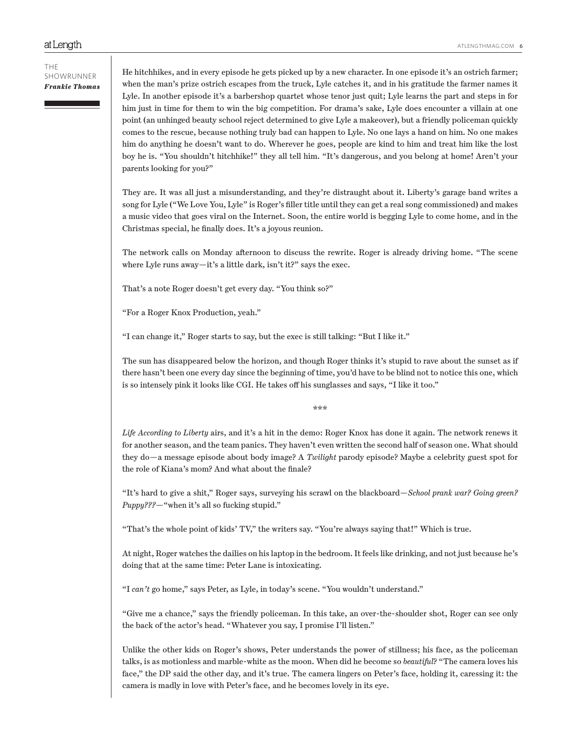He hitchhikes, and in every episode he gets picked up by a new character. In one episode it's an ostrich farmer; when the man's prize ostrich escapes from the truck, Lyle catches it, and in his gratitude the farmer names it Lyle. In another episode it's a barbershop quartet whose tenor just quit; Lyle learns the part and steps in for him just in time for them to win the big competition. For drama's sake, Lyle does encounter a villain at one point (an unhinged beauty school reject determined to give Lyle a makeover), but a friendly policeman quickly comes to the rescue, because nothing truly bad can happen to Lyle. No one lays a hand on him. No one makes him do anything he doesn't want to do. Wherever he goes, people are kind to him and treat him like the lost boy he is. "You shouldn't hitchhike!" they all tell him. "It's dangerous, and you belong at home! Aren't your parents looking for you?"

They are. It was all just a misunderstanding, and they're distraught about it. Liberty's garage band writes a song for Lyle ("We Love You, Lyle" is Roger's filler title until they can get a real song commissioned) and makes a music video that goes viral on the Internet. Soon, the entire world is begging Lyle to come home, and in the Christmas special, he finally does. It's a joyous reunion.

The network calls on Monday afternoon to discuss the rewrite. Roger is already driving home. "The scene where Lyle runs away—it's a little dark, isn't it?" says the exec.

That's a note Roger doesn't get every day. "You think so?"

"For a Roger Knox Production, yeah."

"I can change it," Roger starts to say, but the exec is still talking: "But I like it."

The sun has disappeared below the horizon, and though Roger thinks it's stupid to rave about the sunset as if there hasn't been one every day since the beginning of time, you'd have to be blind not to notice this one, which is so intensely pink it looks like CGI. He takes off his sunglasses and says, "I like it too."

\*\*\*

*Life According to Liberty* airs, and it's a hit in the demo: Roger Knox has done it again. The network renews it for another season, and the team panics. They haven't even written the second half of season one. What should they do—a message episode about body image? A *Twilight* parody episode? Maybe a celebrity guest spot for the role of Kiana's mom? And what about the finale?

"It's hard to give a shit," Roger says, surveying his scrawl on the blackboard—*School prank war? Going green? Puppy???*—"when it's all so fucking stupid."

"That's the whole point of kids' TV," the writers say. "You're always saying that!" Which is true.

At night, Roger watches the dailies on his laptop in the bedroom. It feels like drinking, and not just because he's doing that at the same time: Peter Lane is intoxicating.

"I *can't* go home," says Peter, as Lyle, in today's scene. "You wouldn't understand."

"Give me a chance," says the friendly policeman. In this take, an over-the-shoulder shot, Roger can see only the back of the actor's head. "Whatever you say, I promise I'll listen."

Unlike the other kids on Roger's shows, Peter understands the power of stillness; his face, as the policeman talks, is as motionless and marble-white as the moon. When did he become so *beautiful*? "The camera loves his face," the DP said the other day, and it's true. The camera lingers on Peter's face, holding it, caressing it: the camera is madly in love with Peter's face, and he becomes lovely in its eye.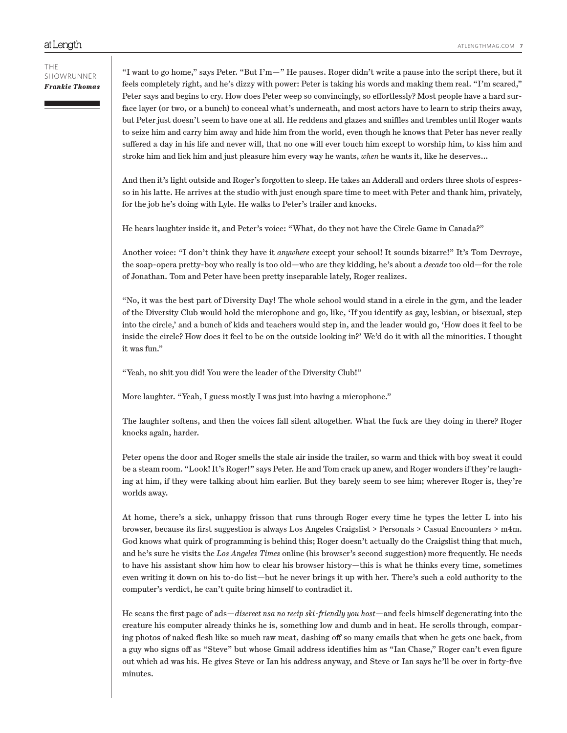#### THE SHOWRUNNER *Frankie Thomas*

"I want to go home," says Peter. "But I'm—" He pauses. Roger didn't write a pause into the script there, but it feels completely right, and he's dizzy with power: Peter is taking his words and making them real. "I'm scared," Peter says and begins to cry. How does Peter weep so convincingly, so effortlessly? Most people have a hard surface layer (or two, or a bunch) to conceal what's underneath, and most actors have to learn to strip theirs away, but Peter just doesn't seem to have one at all. He reddens and glazes and sniffles and trembles until Roger wants to seize him and carry him away and hide him from the world, even though he knows that Peter has never really suffered a day in his life and never will, that no one will ever touch him except to worship him, to kiss him and stroke him and lick him and just pleasure him every way he wants, *when* he wants it, like he deserves…

And then it's light outside and Roger's forgotten to sleep. He takes an Adderall and orders three shots of espresso in his latte. He arrives at the studio with just enough spare time to meet with Peter and thank him, privately, for the job he's doing with Lyle. He walks to Peter's trailer and knocks.

He hears laughter inside it, and Peter's voice: "What, do they not have the Circle Game in Canada?"

Another voice: "I don't think they have it *anywhere* except your school! It sounds bizarre!" It's Tom Devroye, the soap-opera pretty-boy who really is too old—who are they kidding, he's about a *decade* too old—for the role of Jonathan. Tom and Peter have been pretty inseparable lately, Roger realizes.

"No, it was the best part of Diversity Day! The whole school would stand in a circle in the gym, and the leader of the Diversity Club would hold the microphone and go, like, 'If you identify as gay, lesbian, or bisexual, step into the circle,' and a bunch of kids and teachers would step in, and the leader would go, 'How does it feel to be inside the circle? How does it feel to be on the outside looking in?' We'd do it with all the minorities. I thought it was fun."

"Yeah, no shit you did! You were the leader of the Diversity Club!"

More laughter. "Yeah, I guess mostly I was just into having a microphone."

The laughter softens, and then the voices fall silent altogether. What the fuck are they doing in there? Roger knocks again, harder.

Peter opens the door and Roger smells the stale air inside the trailer, so warm and thick with boy sweat it could be a steam room. "Look! It's Roger!" says Peter. He and Tom crack up anew, and Roger wonders if they're laughing at him, if they were talking about him earlier. But they barely seem to see him; wherever Roger is, they're worlds away.

At home, there's a sick, unhappy frisson that runs through Roger every time he types the letter L into his browser, because its first suggestion is always Los Angeles Craigslist > Personals > Casual Encounters > m4m. God knows what quirk of programming is behind this; Roger doesn't actually do the Craigslist thing that much, and he's sure he visits the *Los Angeles Times* online (his browser's second suggestion) more frequently. He needs to have his assistant show him how to clear his browser history—this is what he thinks every time, sometimes even writing it down on his to-do list—but he never brings it up with her. There's such a cold authority to the computer's verdict, he can't quite bring himself to contradict it.

He scans the first page of ads—*discreet nsa no recip ski-friendly you host*—and feels himself degenerating into the creature his computer already thinks he is, something low and dumb and in heat. He scrolls through, comparing photos of naked flesh like so much raw meat, dashing off so many emails that when he gets one back, from a guy who signs off as "Steve" but whose Gmail address identifies him as "Ian Chase," Roger can't even figure out which ad was his. He gives Steve or Ian his address anyway, and Steve or Ian says he'll be over in forty-five minutes.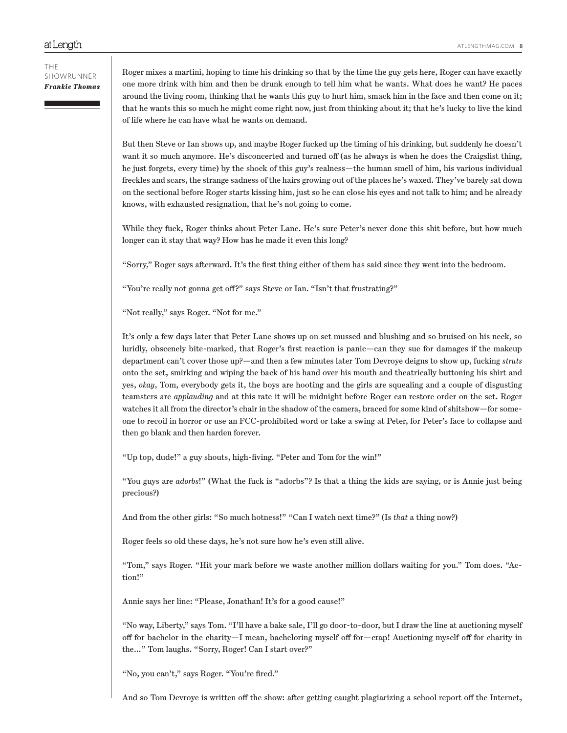Roger mixes a martini, hoping to time his drinking so that by the time the guy gets here, Roger can have exactly one more drink with him and then be drunk enough to tell him what he wants. What does he want? He paces around the living room, thinking that he wants this guy to hurt him, smack him in the face and then come on it; that he wants this so much he might come right now, just from thinking about it; that he's lucky to live the kind of life where he can have what he wants on demand.

But then Steve or Ian shows up, and maybe Roger fucked up the timing of his drinking, but suddenly he doesn't want it so much anymore. He's disconcerted and turned off (as he always is when he does the Craigslist thing, he just forgets, every time) by the shock of this guy's realness—the human smell of him, his various individual freckles and scars, the strange sadness of the hairs growing out of the places he's waxed. They've barely sat down on the sectional before Roger starts kissing him, just so he can close his eyes and not talk to him; and he already knows, with exhausted resignation, that he's not going to come.

While they fuck, Roger thinks about Peter Lane. He's sure Peter's never done this shit before, but how much longer can it stay that way? How has he made it even this long?

"Sorry," Roger says afterward. It's the first thing either of them has said since they went into the bedroom.

"You're really not gonna get off?" says Steve or Ian. "Isn't that frustrating?"

"Not really," says Roger. "Not for me."

It's only a few days later that Peter Lane shows up on set mussed and blushing and so bruised on his neck, so luridly, obscenely bite-marked, that Roger's first reaction is panic—can they sue for damages if the makeup department can't cover those up?—and then a few minutes later Tom Devroye deigns to show up, fucking *struts* onto the set, smirking and wiping the back of his hand over his mouth and theatrically buttoning his shirt and yes, *okay*, Tom, everybody gets it, the boys are hooting and the girls are squealing and a couple of disgusting teamsters are *applauding* and at this rate it will be midnight before Roger can restore order on the set. Roger watches it all from the director's chair in the shadow of the camera, braced for some kind of shitshow—for someone to recoil in horror or use an FCC-prohibited word or take a swing at Peter, for Peter's face to collapse and then go blank and then harden forever.

"Up top, dude!" a guy shouts, high-fiving. "Peter and Tom for the win!"

"You guys are *adorbs*!" (What the fuck is "adorbs"? Is that a thing the kids are saying, or is Annie just being precious?)

And from the other girls: "So much hotness!" "Can I watch next time?" (Is *that* a thing now?)

Roger feels so old these days, he's not sure how he's even still alive.

"Tom," says Roger. "Hit your mark before we waste another million dollars waiting for you." Tom does. "Action!"

Annie says her line: "Please, Jonathan! It's for a good cause!"

"No way, Liberty," says Tom. "I'll have a bake sale, I'll go door-to-door, but I draw the line at auctioning myself off for bachelor in the charity—I mean, bacheloring myself off for—crap! Auctioning myself off for charity in the…" Tom laughs. "Sorry, Roger! Can I start over?"

"No, you can't," says Roger. "You're fired."

And so Tom Devroye is written off the show: after getting caught plagiarizing a school report off the Internet,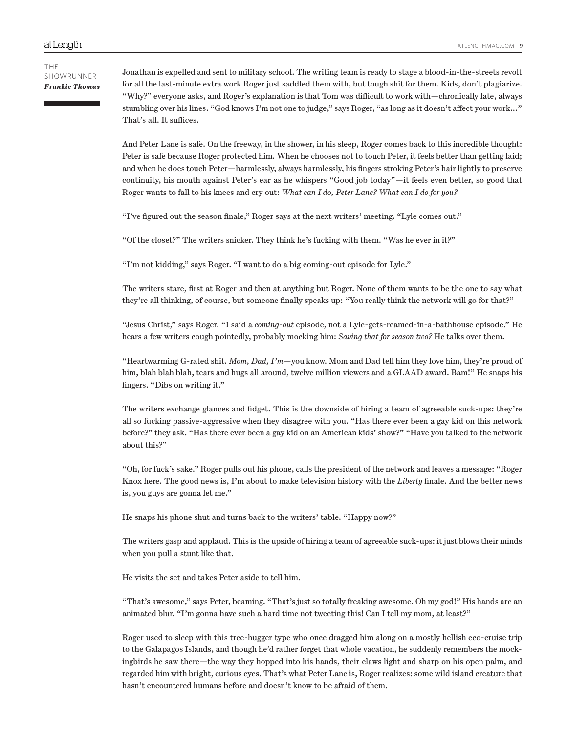And Peter Lane is safe. On the freeway, in the shower, in his sleep, Roger comes back to this incredible thought: Peter is safe because Roger protected him. When he chooses not to touch Peter, it feels better than getting laid; and when he does touch Peter—harmlessly, always harmlessly, his fingers stroking Peter's hair lightly to preserve continuity, his mouth against Peter's ear as he whispers "Good job today"—it feels even better, so good that Roger wants to fall to his knees and cry out: *What can I do, Peter Lane? What can I do for you?*

"I've figured out the season finale," Roger says at the next writers' meeting. "Lyle comes out."

"Of the closet?" The writers snicker. They think he's fucking with them. "Was he ever in it?"

"I'm not kidding," says Roger. "I want to do a big coming-out episode for Lyle."

The writers stare, first at Roger and then at anything but Roger. None of them wants to be the one to say what they're all thinking, of course, but someone finally speaks up: "You really think the network will go for that?"

"Jesus Christ," says Roger. "I said a *coming-out* episode, not a Lyle-gets-reamed-in-a-bathhouse episode." He hears a few writers cough pointedly, probably mocking him: *Saving that for season two?* He talks over them.

"Heartwarming G-rated shit. *Mom, Dad, I'm*—you know. Mom and Dad tell him they love him, they're proud of him, blah blah blah, tears and hugs all around, twelve million viewers and a GLAAD award. Bam!" He snaps his fingers. "Dibs on writing it."

The writers exchange glances and fidget. This is the downside of hiring a team of agreeable suck-ups: they're all so fucking passive-aggressive when they disagree with you. "Has there ever been a gay kid on this network before?" they ask. "Has there ever been a gay kid on an American kids' show?" "Have you talked to the network about this?"

"Oh, for fuck's sake." Roger pulls out his phone, calls the president of the network and leaves a message: "Roger Knox here. The good news is, I'm about to make television history with the *Liberty* finale. And the better news is, you guys are gonna let me."

He snaps his phone shut and turns back to the writers' table. "Happy now?"

The writers gasp and applaud. This is the upside of hiring a team of agreeable suck-ups: it just blows their minds when you pull a stunt like that.

He visits the set and takes Peter aside to tell him.

"That's awesome," says Peter, beaming. "That's just so totally freaking awesome. Oh my god!" His hands are an animated blur. "I'm gonna have such a hard time not tweeting this! Can I tell my mom, at least?"

Roger used to sleep with this tree-hugger type who once dragged him along on a mostly hellish eco-cruise trip to the Galapagos Islands, and though he'd rather forget that whole vacation, he suddenly remembers the mockingbirds he saw there—the way they hopped into his hands, their claws light and sharp on his open palm, and regarded him with bright, curious eyes. That's what Peter Lane is, Roger realizes: some wild island creature that hasn't encountered humans before and doesn't know to be afraid of them.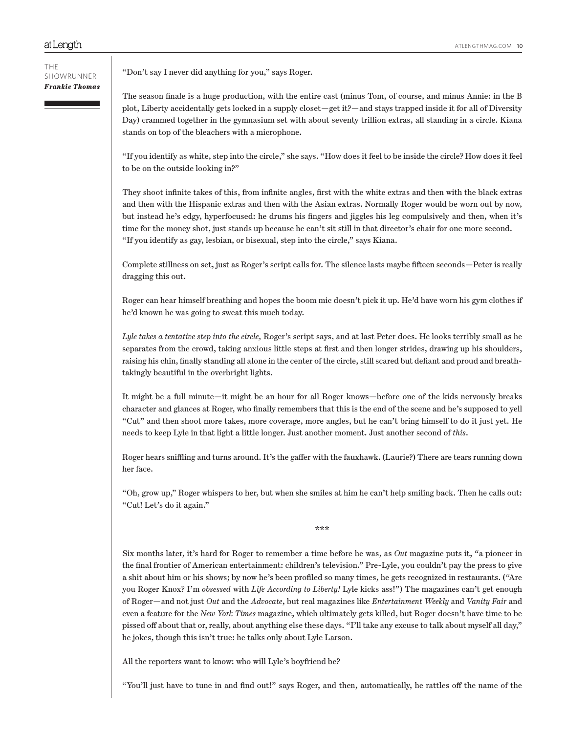"Don't say I never did anything for you," says Roger.

The season finale is a huge production, with the entire cast (minus Tom, of course, and minus Annie: in the B plot, Liberty accidentally gets locked in a supply closet—get it?—and stays trapped inside it for all of Diversity Day) crammed together in the gymnasium set with about seventy trillion extras, all standing in a circle. Kiana stands on top of the bleachers with a microphone.

"If you identify as white, step into the circle," she says. "How does it feel to be inside the circle? How does it feel to be on the outside looking in?"

They shoot infinite takes of this, from infinite angles, first with the white extras and then with the black extras and then with the Hispanic extras and then with the Asian extras. Normally Roger would be worn out by now, but instead he's edgy, hyperfocused: he drums his fingers and jiggles his leg compulsively and then, when it's time for the money shot, just stands up because he can't sit still in that director's chair for one more second. "If you identify as gay, lesbian, or bisexual, step into the circle," says Kiana.

Complete stillness on set, just as Roger's script calls for. The silence lasts maybe fifteen seconds—Peter is really dragging this out.

Roger can hear himself breathing and hopes the boom mic doesn't pick it up. He'd have worn his gym clothes if he'd known he was going to sweat this much today.

*Lyle takes a tentative step into the circle,* Roger's script says, and at last Peter does. He looks terribly small as he separates from the crowd, taking anxious little steps at first and then longer strides, drawing up his shoulders, raising his chin, finally standing all alone in the center of the circle, still scared but defiant and proud and breathtakingly beautiful in the overbright lights.

It might be a full minute—it might be an hour for all Roger knows—before one of the kids nervously breaks character and glances at Roger, who finally remembers that this is the end of the scene and he's supposed to yell "Cut" and then shoot more takes, more coverage, more angles, but he can't bring himself to do it just yet. He needs to keep Lyle in that light a little longer. Just another moment. Just another second of *this*.

Roger hears sniffling and turns around. It's the gaffer with the fauxhawk. (Laurie?) There are tears running down her face.

"Oh, grow up," Roger whispers to her, but when she smiles at him he can't help smiling back. Then he calls out: "Cut! Let's do it again."

\*\*\*

Six months later, it's hard for Roger to remember a time before he was, as *Out* magazine puts it, "a pioneer in the final frontier of American entertainment: children's television." Pre-Lyle, you couldn't pay the press to give a shit about him or his shows; by now he's been profiled so many times, he gets recognized in restaurants. ("Are you Roger Knox? I'm *obsessed* with *Life According to Liberty!* Lyle kicks ass!") The magazines can't get enough of Roger—and not just *Out* and the *Advocate*, but real magazines like *Entertainment Weekly* and *Vanity Fair* and even a feature for the *New York Times* magazine, which ultimately gets killed, but Roger doesn't have time to be pissed off about that or, really, about anything else these days. "I'll take any excuse to talk about myself all day," he jokes, though this isn't true: he talks only about Lyle Larson.

All the reporters want to know: who will Lyle's boyfriend be?

"You'll just have to tune in and find out!" says Roger, and then, automatically, he rattles off the name of the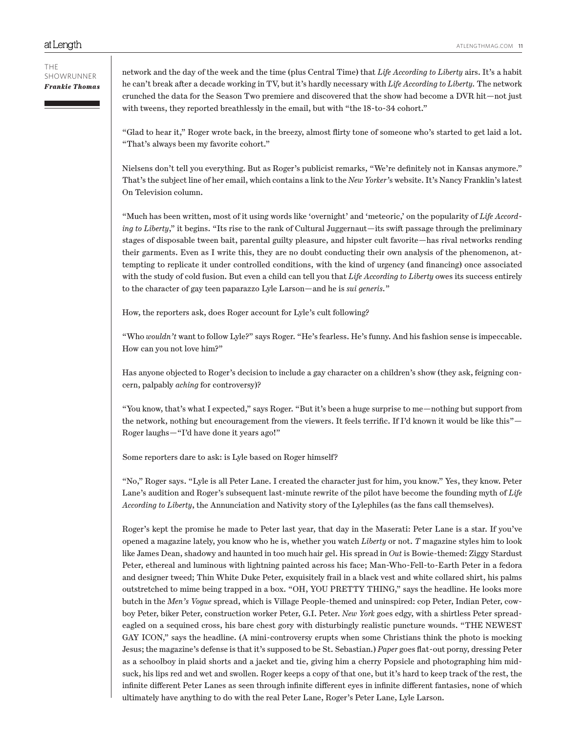#### THE SHOWRUNNER *Frankie Thomas*

network and the day of the week and the time (plus Central Time) that *Life According to Liberty* airs. It's a habit he can't break after a decade working in TV, but it's hardly necessary with *Life According to Liberty.* The network crunched the data for the Season Two premiere and discovered that the show had become a DVR hit—not just with tweens, they reported breathlessly in the email, but with "the 18-to-34 cohort."

"Glad to hear it," Roger wrote back, in the breezy, almost flirty tone of someone who's started to get laid a lot. "That's always been my favorite cohort."

Nielsens don't tell you everything. But as Roger's publicist remarks, "We're definitely not in Kansas anymore." That's the subject line of her email, which contains a link to the *New Yorker'*s website. It's Nancy Franklin's latest On Television column.

"Much has been written, most of it using words like 'overnight' and 'meteoric,' on the popularity of *Life According to Liberty*," it begins. "Its rise to the rank of Cultural Juggernaut—its swift passage through the preliminary stages of disposable tween bait, parental guilty pleasure, and hipster cult favorite—has rival networks rending their garments. Even as I write this, they are no doubt conducting their own analysis of the phenomenon, attempting to replicate it under controlled conditions, with the kind of urgency (and financing) once associated with the study of cold fusion. But even a child can tell you that *Life According to Liberty* owes its success entirely to the character of gay teen paparazzo Lyle Larson—and he is *sui generis.*"

How, the reporters ask, does Roger account for Lyle's cult following?

"Who *wouldn't* want to follow Lyle?" says Roger. "He's fearless. He's funny. And his fashion sense is impeccable. How can you not love him?"

Has anyone objected to Roger's decision to include a gay character on a children's show (they ask, feigning concern, palpably *aching* for controversy)?

"You know, that's what I expected," says Roger. "But it's been a huge surprise to me—nothing but support from the network, nothing but encouragement from the viewers. It feels terrific. If I'd known it would be like this"-Roger laughs—"I'd have done it years ago!"

Some reporters dare to ask: is Lyle based on Roger himself?

"No," Roger says. "Lyle is all Peter Lane. I created the character just for him, you know." Yes, they know. Peter Lane's audition and Roger's subsequent last-minute rewrite of the pilot have become the founding myth of *Life According to Liberty*, the Annunciation and Nativity story of the Lylephiles (as the fans call themselves).

Roger's kept the promise he made to Peter last year, that day in the Maserati: Peter Lane is a star. If you've opened a magazine lately, you know who he is, whether you watch *Liberty* or not. *T* magazine styles him to look like James Dean, shadowy and haunted in too much hair gel. His spread in *Out* is Bowie-themed: Ziggy Stardust Peter, ethereal and luminous with lightning painted across his face; Man-Who-Fell-to-Earth Peter in a fedora and designer tweed; Thin White Duke Peter, exquisitely frail in a black vest and white collared shirt, his palms outstretched to mime being trapped in a box. "OH, YOU PRETTY THING," says the headline. He looks more butch in the *Men's Vogue* spread, which is Village People-themed and uninspired: cop Peter, Indian Peter, cowboy Peter, biker Peter, construction worker Peter, G.I. Peter. *New York* goes edgy, with a shirtless Peter spreadeagled on a sequined cross, his bare chest gory with disturbingly realistic puncture wounds. "THE NEWEST GAY ICON," says the headline. (A mini-controversy erupts when some Christians think the photo is mocking Jesus; the magazine's defense is that it's supposed to be St. Sebastian.) *Paper* goes flat-out porny, dressing Peter as a schoolboy in plaid shorts and a jacket and tie, giving him a cherry Popsicle and photographing him midsuck, his lips red and wet and swollen. Roger keeps a copy of that one, but it's hard to keep track of the rest, the infinite different Peter Lanes as seen through infinite different eyes in infinite different fantasies, none of which ultimately have anything to do with the real Peter Lane, Roger's Peter Lane, Lyle Larson.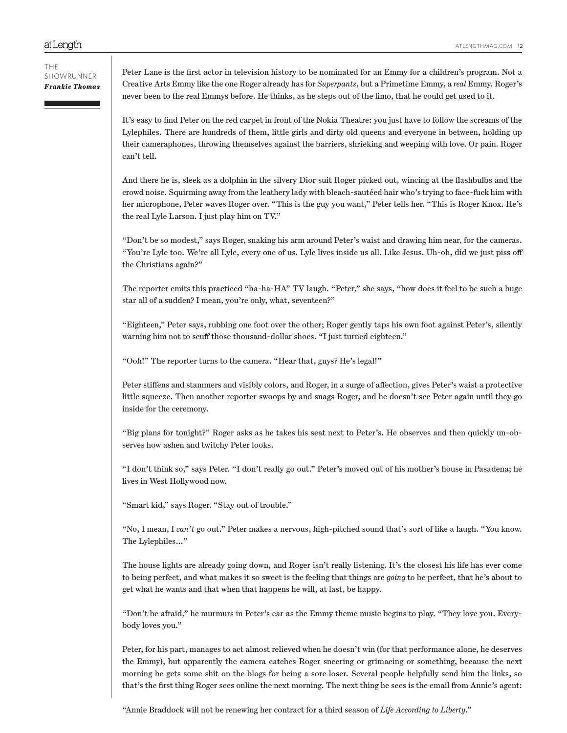Peter Lane is the first actor in television history to be nominated for an Emmy for a children's program. Not a Creative Arts Emmy like the one Roger already has for *Superpants*, but a Primetime Emmy, a *real* Emmy. Roger's never been to the real Emmys before. He thinks, as he steps out of the limo, that he could get used to it.

It's easy to find Peter on the red carpet in front of the Nokia Theatre: you just have to follow the screams of the Lylephiles. There are hundreds of them, little girls and dirty old queens and everyone in between, holding up their cameraphones, throwing themselves against the barriers, shrieking and weeping with love. Or pain. Roger can't tell.

And there he is, sleek as a dolphin in the silvery Dior suit Roger picked out, wincing at the flashbulbs and the crowd noise. Squirming away from the leathery lady with bleach-sautéed hair who's trying to face-fuck him with her microphone, Peter waves Roger over. "This is the guy you want," Peter tells her. "This is Roger Knox. He's the real Lyle Larson. I just play him on TV."

"Don't be so modest," says Roger, snaking his arm around Peter's waist and drawing him near, for the cameras. "You're Lyle too. We're all Lyle, every one of us. Lyle lives inside us all. Like Jesus. Uh-oh, did we just piss off the Christians again?"

The reporter emits this practiced "ha-ha-HA" TV laugh. "Peter," she says, "how does it feel to be such a huge star all of a sudden? I mean, you're only, what, seventeen?"

"Eighteen," Peter says, rubbing one foot over the other; Roger gently taps his own foot against Peter's, silently warning him not to scuff those thousand-dollar shoes. "I just turned eighteen."

"Ooh!" The reporter turns to the camera. "Hear that, guys? He's legal!"

Peter stiffens and stammers and visibly colors, and Roger, in a surge of affection, gives Peter's waist a protective little squeeze. Then another reporter swoops by and snags Roger, and he doesn't see Peter again until they go inside for the ceremony.

"Big plans for tonight?" Roger asks as he takes his seat next to Peter's. He observes and then quickly un-observes how ashen and twitchy Peter looks.

"I don't think so," says Peter. "I don't really go out." Peter's moved out of his mother's house in Pasadena; he lives in West Hollywood now.

"Smart kid," says Roger. "Stay out of trouble."

"No, I mean, I *can't* go out." Peter makes a nervous, high-pitched sound that's sort of like a laugh. "You know. The Lylephiles…"

The house lights are already going down, and Roger isn't really listening. It's the closest his life has ever come to being perfect, and what makes it so sweet is the feeling that things are *going* to be perfect, that he's about to get what he wants and that when that happens he will, at last, be happy.

"Don't be afraid," he murmurs in Peter's ear as the Emmy theme music begins to play. "They love you. Everybody loves you."

Peter, for his part, manages to act almost relieved when he doesn't win (for that performance alone, he deserves the Emmy), but apparently the camera catches Roger sneering or grimacing or something, because the next morning he gets some shit on the blogs for being a sore loser. Several people helpfully send him the links, so that's the first thing Roger sees online the next morning. The next thing he sees is the email from Annie's agent:

"Annie Braddock will not be renewing her contract for a third season of *Life According to Liberty*."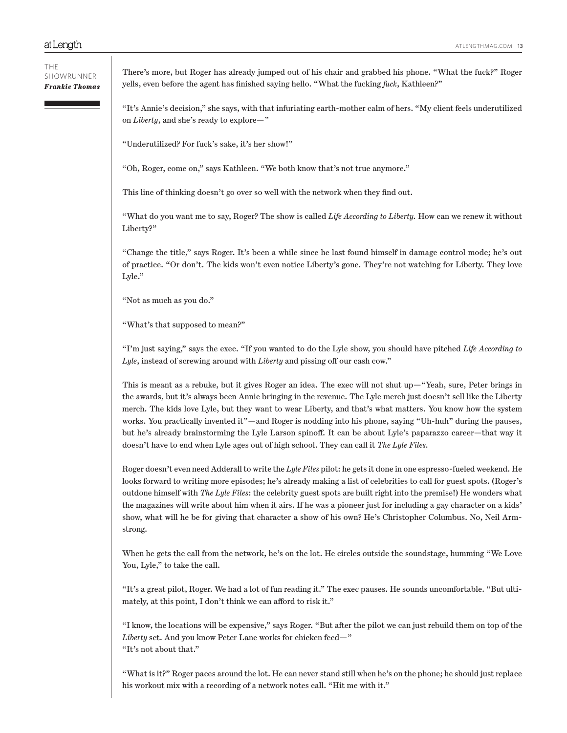There's more, but Roger has already jumped out of his chair and grabbed his phone. "What the fuck?" Roger yells, even before the agent has finished saying hello. "What the fucking *fuck*, Kathleen?"

"It's Annie's decision," she says, with that infuriating earth-mother calm of hers. "My client feels underutilized on *Liberty*, and she's ready to explore—"

"Underutilized? For fuck's sake, it's her show!"

"Oh, Roger, come on," says Kathleen. "We both know that's not true anymore."

This line of thinking doesn't go over so well with the network when they find out.

"What do you want me to say, Roger? The show is called *Life According to Liberty.* How can we renew it without Liberty?"

"Change the title," says Roger. It's been a while since he last found himself in damage control mode; he's out of practice. "Or don't. The kids won't even notice Liberty's gone. They're not watching for Liberty. They love Lyle."

"Not as much as you do."

"What's that supposed to mean?"

"I'm just saying," says the exec. "If you wanted to do the Lyle show, you should have pitched *Life According to Lyle*, instead of screwing around with *Liberty* and pissing off our cash cow."

This is meant as a rebuke, but it gives Roger an idea. The exec will not shut up—"Yeah, sure, Peter brings in the awards, but it's always been Annie bringing in the revenue. The Lyle merch just doesn't sell like the Liberty merch. The kids love Lyle, but they want to wear Liberty, and that's what matters. You know how the system works. You practically invented it"—and Roger is nodding into his phone, saying "Uh-huh" during the pauses, but he's already brainstorming the Lyle Larson spinoff. It can be about Lyle's paparazzo career—that way it doesn't have to end when Lyle ages out of high school. They can call it *The Lyle Files.*

Roger doesn't even need Adderall to write the *Lyle Files* pilot: he gets it done in one espresso-fueled weekend. He looks forward to writing more episodes; he's already making a list of celebrities to call for guest spots. (Roger's outdone himself with *The Lyle Files*: the celebrity guest spots are built right into the premise!) He wonders what the magazines will write about him when it airs. If he was a pioneer just for including a gay character on a kids' show, what will he be for giving that character a show of his own? He's Christopher Columbus. No, Neil Armstrong.

When he gets the call from the network, he's on the lot. He circles outside the soundstage, humming "We Love You, Lyle," to take the call.

"It's a great pilot, Roger. We had a lot of fun reading it." The exec pauses. He sounds uncomfortable. "But ultimately, at this point, I don't think we can afford to risk it."

"I know, the locations will be expensive," says Roger. "But after the pilot we can just rebuild them on top of the *Liberty* set. And you know Peter Lane works for chicken feed—" "It's not about that."

"What is it?" Roger paces around the lot. He can never stand still when he's on the phone; he should just replace his workout mix with a recording of a network notes call. "Hit me with it."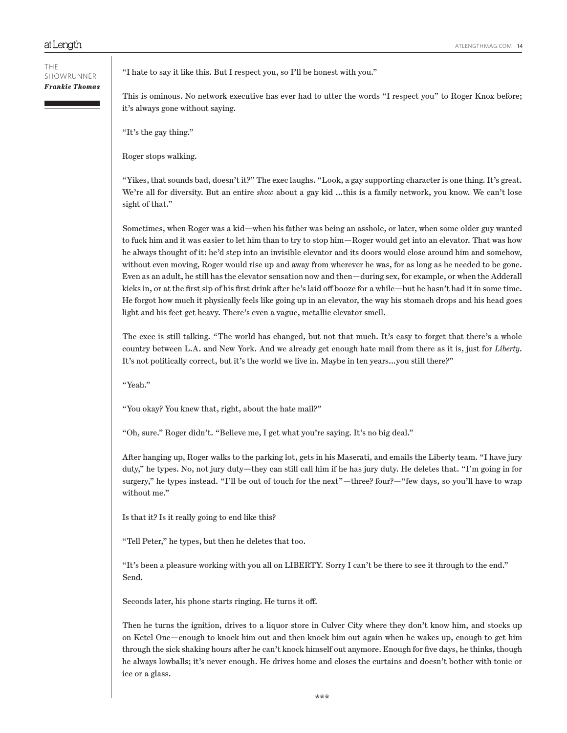"I hate to say it like this. But I respect you, so I'll be honest with you."

This is ominous. No network executive has ever had to utter the words "I respect you" to Roger Knox before; it's always gone without saying.

"It's the gay thing."

Roger stops walking.

"Yikes, that sounds bad, doesn't it?" The exec laughs. "Look, a gay supporting character is one thing. It's great. We're all for diversity. But an entire *show* about a gay kid …this is a family network, you know. We can't lose sight of that."

Sometimes, when Roger was a kid—when his father was being an asshole, or later, when some older guy wanted to fuck him and it was easier to let him than to try to stop him—Roger would get into an elevator. That was how he always thought of it: he'd step into an invisible elevator and its doors would close around him and somehow, without even moving, Roger would rise up and away from wherever he was, for as long as he needed to be gone. Even as an adult, he still has the elevator sensation now and then—during sex, for example, or when the Adderall kicks in, or at the first sip of his first drink after he's laid off booze for a while—but he hasn't had it in some time. He forgot how much it physically feels like going up in an elevator, the way his stomach drops and his head goes light and his feet get heavy. There's even a vague, metallic elevator smell.

The exec is still talking. "The world has changed, but not that much. It's easy to forget that there's a whole country between L.A. and New York. And we already get enough hate mail from there as it is, just for *Liberty*. It's not politically correct, but it's the world we live in. Maybe in ten years…you still there?"

"Yeah."

"You okay? You knew that, right, about the hate mail?"

"Oh, sure." Roger didn't. "Believe me, I get what you're saying. It's no big deal."

After hanging up, Roger walks to the parking lot, gets in his Maserati, and emails the Liberty team. "I have jury duty," he types. No, not jury duty—they can still call him if he has jury duty. He deletes that. "I'm going in for surgery," he types instead. "I'll be out of touch for the next"—three? four?—"few days, so you'll have to wrap without me."

Is that it? Is it really going to end like this?

"Tell Peter," he types, but then he deletes that too.

"It's been a pleasure working with you all on LIBERTY. Sorry I can't be there to see it through to the end." Send.

Seconds later, his phone starts ringing. He turns it off.

Then he turns the ignition, drives to a liquor store in Culver City where they don't know him, and stocks up on Ketel One—enough to knock him out and then knock him out again when he wakes up, enough to get him through the sick shaking hours after he can't knock himself out anymore. Enough for five days, he thinks, though he always lowballs; it's never enough. He drives home and closes the curtains and doesn't bother with tonic or ice or a glass.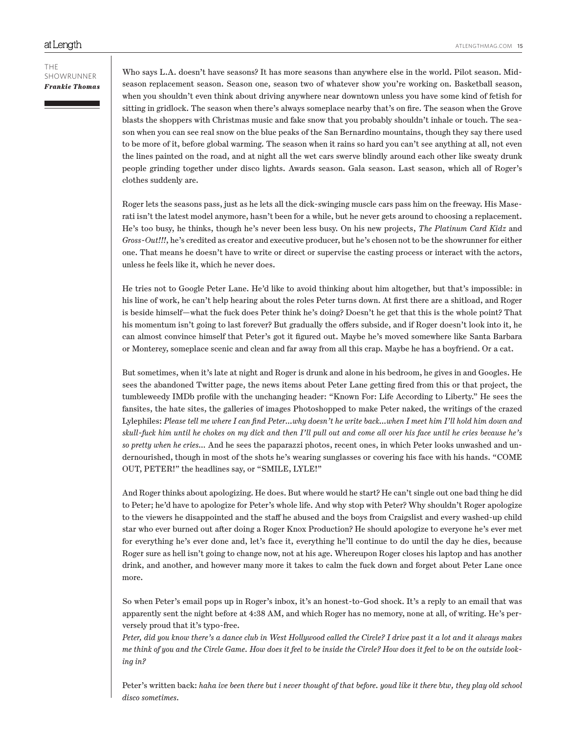Who says L.A. doesn't have seasons? It has more seasons than anywhere else in the world. Pilot season. Midseason replacement season. Season one, season two of whatever show you're working on. Basketball season, when you shouldn't even think about driving anywhere near downtown unless you have some kind of fetish for sitting in gridlock. The season when there's always someplace nearby that's on fire. The season when the Grove blasts the shoppers with Christmas music and fake snow that you probably shouldn't inhale or touch. The season when you can see real snow on the blue peaks of the San Bernardino mountains, though they say there used to be more of it, before global warming. The season when it rains so hard you can't see anything at all, not even the lines painted on the road, and at night all the wet cars swerve blindly around each other like sweaty drunk people grinding together under disco lights. Awards season. Gala season. Last season, which all of Roger's clothes suddenly are.

Roger lets the seasons pass, just as he lets all the dick-swinging muscle cars pass him on the freeway. His Maserati isn't the latest model anymore, hasn't been for a while, but he never gets around to choosing a replacement. He's too busy, he thinks, though he's never been less busy. On his new projects, *The Platinum Card Kidz* and *Gross-Out!!!*, he's credited as creator and executive producer, but he's chosen not to be the showrunner for either one. That means he doesn't have to write or direct or supervise the casting process or interact with the actors, unless he feels like it, which he never does.

He tries not to Google Peter Lane. He'd like to avoid thinking about him altogether, but that's impossible: in his line of work, he can't help hearing about the roles Peter turns down. At first there are a shitload, and Roger is beside himself—what the fuck does Peter think he's doing? Doesn't he get that this is the whole point? That his momentum isn't going to last forever? But gradually the offers subside, and if Roger doesn't look into it, he can almost convince himself that Peter's got it figured out. Maybe he's moved somewhere like Santa Barbara or Monterey, someplace scenic and clean and far away from all this crap. Maybe he has a boyfriend. Or a cat.

But sometimes, when it's late at night and Roger is drunk and alone in his bedroom, he gives in and Googles. He sees the abandoned Twitter page, the news items about Peter Lane getting fired from this or that project, the tumbleweedy IMDb profile with the unchanging header: "Known For: Life According to Liberty." He sees the fansites, the hate sites, the galleries of images Photoshopped to make Peter naked, the writings of the crazed Lylephiles: *Please tell me where I can find Peter…why doesn't he write back…when I meet him I'll hold him down and skull-fuck him until he chokes on my dick and then I'll pull out and come all over his face until he cries because he's so pretty when he cries…* And he sees the paparazzi photos, recent ones, in which Peter looks unwashed and undernourished, though in most of the shots he's wearing sunglasses or covering his face with his hands. "COME OUT, PETER!" the headlines say, or "SMILE, LYLE!"

And Roger thinks about apologizing. He does. But where would he start? He can't single out one bad thing he did to Peter; he'd have to apologize for Peter's whole life. And why stop with Peter? Why shouldn't Roger apologize to the viewers he disappointed and the staff he abused and the boys from Craigslist and every washed-up child star who ever burned out after doing a Roger Knox Production? He should apologize to everyone he's ever met for everything he's ever done and, let's face it, everything he'll continue to do until the day he dies, because Roger sure as hell isn't going to change now, not at his age. Whereupon Roger closes his laptop and has another drink, and another, and however many more it takes to calm the fuck down and forget about Peter Lane once more.

So when Peter's email pops up in Roger's inbox, it's an honest-to-God shock. It's a reply to an email that was apparently sent the night before at 4:38 AM, and which Roger has no memory, none at all, of writing. He's perversely proud that it's typo-free.

*Peter, did you know there's a dance club in West Hollywood called the Circle? I drive past it a lot and it always makes me think of you and the Circle Game. How does it feel to be inside the Circle? How does it feel to be on the outside looking in?*

Peter's written back: *haha ive been there but i never thought of that before. youd like it there btw, they play old school disco sometimes.*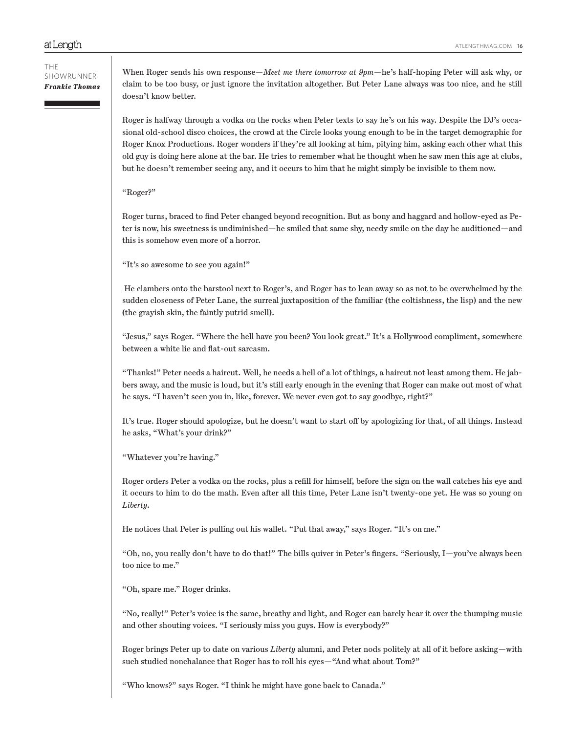When Roger sends his own response—*Meet me there tomorrow at 9pm*—he's half-hoping Peter will ask why, or claim to be too busy, or just ignore the invitation altogether. But Peter Lane always was too nice, and he still doesn't know better.

Roger is halfway through a vodka on the rocks when Peter texts to say he's on his way. Despite the DJ's occasional old-school disco choices, the crowd at the Circle looks young enough to be in the target demographic for Roger Knox Productions. Roger wonders if they're all looking at him, pitying him, asking each other what this old guy is doing here alone at the bar. He tries to remember what he thought when he saw men this age at clubs, but he doesn't remember seeing any, and it occurs to him that he might simply be invisible to them now.

### "Roger?"

Roger turns, braced to find Peter changed beyond recognition. But as bony and haggard and hollow-eyed as Peter is now, his sweetness is undiminished—he smiled that same shy, needy smile on the day he auditioned—and this is somehow even more of a horror.

"It's so awesome to see you again!"

 He clambers onto the barstool next to Roger's, and Roger has to lean away so as not to be overwhelmed by the sudden closeness of Peter Lane, the surreal juxtaposition of the familiar (the coltishness, the lisp) and the new (the grayish skin, the faintly putrid smell).

"Jesus," says Roger. "Where the hell have you been? You look great." It's a Hollywood compliment, somewhere between a white lie and flat-out sarcasm.

"Thanks!" Peter needs a haircut. Well, he needs a hell of a lot of things, a haircut not least among them. He jabbers away, and the music is loud, but it's still early enough in the evening that Roger can make out most of what he says. "I haven't seen you in, like, forever. We never even got to say goodbye, right?"

It's true. Roger should apologize, but he doesn't want to start off by apologizing for that, of all things. Instead he asks, "What's your drink?"

"Whatever you're having."

Roger orders Peter a vodka on the rocks, plus a refill for himself, before the sign on the wall catches his eye and it occurs to him to do the math. Even after all this time, Peter Lane isn't twenty-one yet. He was so young on *Liberty*.

He notices that Peter is pulling out his wallet. "Put that away," says Roger. "It's on me."

"Oh, no, you really don't have to do that!" The bills quiver in Peter's fingers. "Seriously, I—you've always been too nice to me."

"Oh, spare me." Roger drinks.

"No, really!" Peter's voice is the same, breathy and light, and Roger can barely hear it over the thumping music and other shouting voices. "I seriously miss you guys. How is everybody?"

Roger brings Peter up to date on various *Liberty* alumni, and Peter nods politely at all of it before asking—with such studied nonchalance that Roger has to roll his eyes—"And what about Tom?"

"Who knows?" says Roger. "I think he might have gone back to Canada."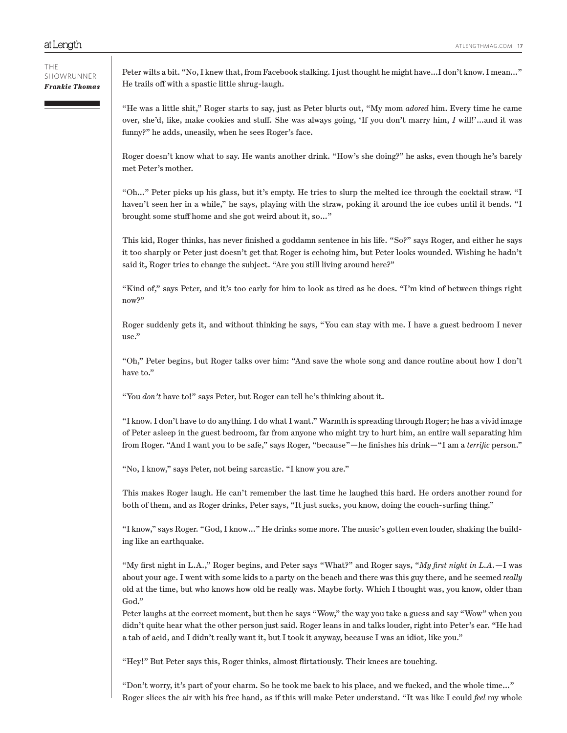THE SHOWRUNNER *Frankie Thomas*

Peter wilts a bit. "No, I knew that, from Facebook stalking. I just thought he might have…I don't know. I mean…" He trails off with a spastic little shrug-laugh.

"He was a little shit," Roger starts to say, just as Peter blurts out, "My mom *adored* him. Every time he came over, she'd, like, make cookies and stuff. She was always going, 'If you don't marry him, *I* will!'…and it was funny?" he adds, uneasily, when he sees Roger's face.

Roger doesn't know what to say. He wants another drink. "How's she doing?" he asks, even though he's barely met Peter's mother.

"Oh…" Peter picks up his glass, but it's empty. He tries to slurp the melted ice through the cocktail straw. "I haven't seen her in a while," he says, playing with the straw, poking it around the ice cubes until it bends. "I brought some stuff home and she got weird about it, so…"

This kid, Roger thinks, has never finished a goddamn sentence in his life. "So?" says Roger, and either he says it too sharply or Peter just doesn't get that Roger is echoing him, but Peter looks wounded. Wishing he hadn't said it, Roger tries to change the subject. "Are you still living around here?"

"Kind of," says Peter, and it's too early for him to look as tired as he does. "I'm kind of between things right now?"

Roger suddenly gets it, and without thinking he says, "You can stay with me. I have a guest bedroom I never use."

"Oh," Peter begins, but Roger talks over him: "And save the whole song and dance routine about how I don't have to."

"You *don't* have to!" says Peter, but Roger can tell he's thinking about it.

"I know. I don't have to do anything. I do what I want." Warmth is spreading through Roger; he has a vivid image of Peter asleep in the guest bedroom, far from anyone who might try to hurt him, an entire wall separating him from Roger. "And I want you to be safe," says Roger, "because"—he finishes his drink—"I am a *terrific* person."

"No, I know," says Peter, not being sarcastic. "I know you are."

This makes Roger laugh. He can't remember the last time he laughed this hard. He orders another round for both of them, and as Roger drinks, Peter says, "It just sucks, you know, doing the couch-surfing thing."

"I know," says Roger. "God, I know…" He drinks some more. The music's gotten even louder, shaking the building like an earthquake.

"My first night in L.A.," Roger begins, and Peter says "What?" and Roger says, "*My first night in L.A.*—I was about your age. I went with some kids to a party on the beach and there was this guy there, and he seemed *really* old at the time, but who knows how old he really was. Maybe forty. Which I thought was, you know, older than God."

Peter laughs at the correct moment, but then he says "Wow," the way you take a guess and say "Wow" when you didn't quite hear what the other person just said. Roger leans in and talks louder, right into Peter's ear. "He had a tab of acid, and I didn't really want it, but I took it anyway, because I was an idiot, like you."

"Hey!" But Peter says this, Roger thinks, almost flirtatiously. Their knees are touching.

"Don't worry, it's part of your charm. So he took me back to his place, and we fucked, and the whole time…" Roger slices the air with his free hand, as if this will make Peter understand. "It was like I could *feel* my whole